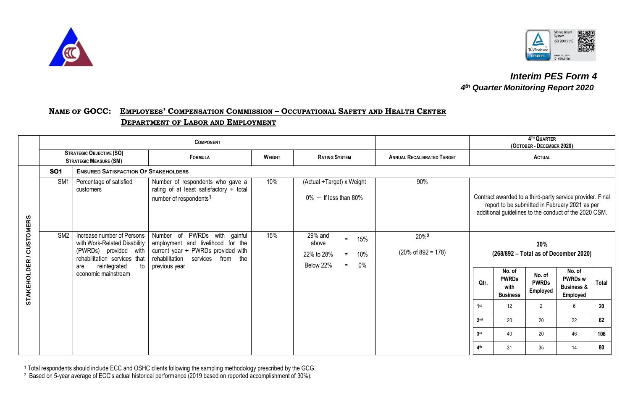



## *Interim PES Form 4 4 th Quarter Monitoring Report 2020*

## NAME OF GOCC: EMPLOYEES' COMPENSATION COMMISSION - OCCUPATIONAL SAFETY AND HEALTH CENTER  **DEPARTMENT OF LABOR AND EMPLOYMENT**

|                                              |                 | <b>COMPONENT</b>                                                                                                                                 |                                                                                                                                                                         |               |                                                                                              |                                                    |                                                                                                                                                                      | 4TH QUARTER<br>(OCTOBER - DECEMBER 2020) |                                    |                                                     |              |  |  |
|----------------------------------------------|-----------------|--------------------------------------------------------------------------------------------------------------------------------------------------|-------------------------------------------------------------------------------------------------------------------------------------------------------------------------|---------------|----------------------------------------------------------------------------------------------|----------------------------------------------------|----------------------------------------------------------------------------------------------------------------------------------------------------------------------|------------------------------------------|------------------------------------|-----------------------------------------------------|--------------|--|--|
|                                              |                 | <b>STRATEGIC OBJECTIVE (SO)</b><br><b>STRATEGIC MEASURE (SM)</b>                                                                                 | <b>FORMULA</b>                                                                                                                                                          | <b>WEIGHT</b> | <b>RATING SYSTEM</b>                                                                         | <b>ANNUAL RECALIBRATED TARGET</b>                  |                                                                                                                                                                      |                                          |                                    | <b>ACTUAL</b>                                       |              |  |  |
|                                              | <b>SO1</b>      | <b>ENSURED SATISFACTION OF STAKEHOLDERS</b>                                                                                                      |                                                                                                                                                                         |               |                                                                                              |                                                    |                                                                                                                                                                      |                                          |                                    |                                                     |              |  |  |
|                                              | SM <sub>1</sub> | Percentage of satisfied<br>customers                                                                                                             | Number of respondents who gave a<br>rating of at least satisfactory $\div$ total<br>number of respondents <sup>1</sup>                                                  | 10%           | (Actual ÷Target) x Weight<br>$0\%$ - If less than 80%                                        | 90%                                                | Contract awarded to a third-party service provider. Final<br>report to be submitted in February 2021 as per<br>additional guidelines to the conduct of the 2020 CSM. |                                          |                                    |                                                     |              |  |  |
| <b>CUSTOMERS</b><br>$\overline{\phantom{0}}$ | SM <sub>2</sub> | Increase number of Persons<br>with Work-Related Disability<br>(PWRDs) provided with<br>rehabilitation services that<br>reintegrated<br>to<br>are | PWRDs with gainful<br>Number of<br>employment and livelihood for the<br>current year $\div$ PWRDs provided with<br>rehabilitation<br>services from the<br>previous year | 15%           | 29% and<br>15%<br>$=$<br>above<br>22% to 28%<br>10%<br>$=$<br>Below 22%<br>$0\%$<br>$\equiv$ | 20% <sup>2</sup><br>$(20\% \text{ of } 892 = 178)$ |                                                                                                                                                                      | No. of                                   | 30%                                | (268/892 - Total as of December 2020)<br>No. of     |              |  |  |
| <b>STAKEHOLDER</b>                           |                 | economic mainstream                                                                                                                              |                                                                                                                                                                         |               |                                                                                              |                                                    | Qtr.                                                                                                                                                                 | <b>PWRDs</b><br>with<br><b>Business</b>  | No. of<br><b>PWRDs</b><br>Employed | <b>PWRDs w</b><br><b>Business &amp;</b><br>Employed | <b>Total</b> |  |  |
|                                              |                 |                                                                                                                                                  |                                                                                                                                                                         |               |                                                                                              |                                                    | 1st                                                                                                                                                                  | 12                                       | $\overline{2}$                     | 6                                                   | 20           |  |  |
|                                              |                 |                                                                                                                                                  |                                                                                                                                                                         |               |                                                                                              |                                                    | 2 <sub>nd</sub>                                                                                                                                                      | 20                                       | 20                                 | 22                                                  | 62           |  |  |
|                                              |                 |                                                                                                                                                  |                                                                                                                                                                         |               |                                                                                              |                                                    | 3 <sub>rd</sub>                                                                                                                                                      | 40                                       | 20                                 | 46                                                  | 106          |  |  |
|                                              |                 |                                                                                                                                                  |                                                                                                                                                                         |               |                                                                                              |                                                    | 4 <sup>th</sup>                                                                                                                                                      | 31                                       | 35                                 | 14                                                  | 80           |  |  |

<sup>1</sup> Total respondents should include ECC and OSHC clients following the sampling methodology prescribed by the GCG.

<sup>&</sup>lt;sup>2</sup> Based on 5-year average of ECC's actual historical performance (2019 based on reported accomplishment of 30%).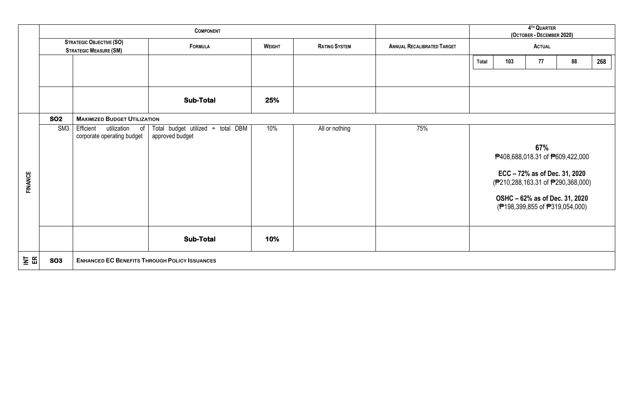|                |                 |                                                                  | <b>COMPONENT</b>                                     |               | 4TH QUARTER<br>(OCTOBER - DECEMBER 2020) |                                   |               |     |                               |                                                                  |     |
|----------------|-----------------|------------------------------------------------------------------|------------------------------------------------------|---------------|------------------------------------------|-----------------------------------|---------------|-----|-------------------------------|------------------------------------------------------------------|-----|
|                |                 | <b>STRATEGIC OBJECTIVE (SO)</b><br><b>STRATEGIC MEASURE (SM)</b> | <b>FORMULA</b>                                       | <b>WEIGHT</b> | <b>RATING SYSTEM</b>                     | <b>ANNUAL RECALIBRATED TARGET</b> | <b>ACTUAL</b> |     |                               |                                                                  |     |
|                |                 |                                                                  |                                                      |               |                                          |                                   | Total         | 103 | 77                            | 88                                                               | 268 |
|                |                 |                                                                  |                                                      |               |                                          |                                   |               |     |                               |                                                                  |     |
|                |                 |                                                                  | <b>Sub-Total</b>                                     | 25%           |                                          |                                   |               |     |                               |                                                                  |     |
|                | <b>SO2</b>      | <b>MAXIMIZED BUDGET UTILIZATION</b>                              |                                                      |               |                                          |                                   |               |     |                               |                                                                  |     |
|                | SM <sub>3</sub> | Efficient<br>utilization<br>of<br>corporate operating budget     | Total budget utilized ÷ total DBM<br>approved budget | 10%           | All or nothing                           | 75%                               |               |     | 67%                           |                                                                  |     |
|                |                 |                                                                  |                                                      |               |                                          |                                   |               |     |                               | <sup>2</sup> 408,688,018.31 of <sup>2609</sup> ,422,000          |     |
| <b>FINANCE</b> |                 |                                                                  |                                                      |               |                                          |                                   |               |     | ECC - 72% as of Dec. 31, 2020 | (₱210,288,163.31 of ₱290,368,000)                                |     |
|                |                 |                                                                  |                                                      |               |                                          |                                   |               |     |                               | OSHC - 62% as of Dec. 31, 2020<br>(₱198,399,855 of ₱319,054,000) |     |
|                |                 |                                                                  | <b>Sub-Total</b>                                     | 10%           |                                          |                                   |               |     |                               |                                                                  |     |
| $\Xi$ $\Xi$    | <b>SO3</b>      |                                                                  | <b>ENHANCED EC BENEFITS THROUGH POLICY ISSUANCES</b> |               |                                          |                                   |               |     |                               |                                                                  |     |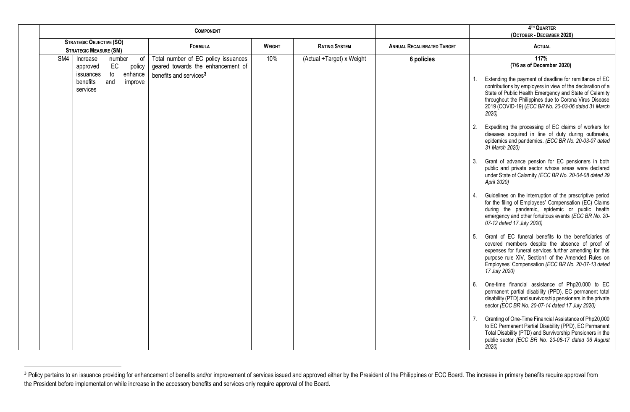| <b>COMPONENT</b>        |                                                                      |                                                                          |               |                           | 4TH QUARTER<br>(OCTOBER - DECEMBER 2020) |                                                                                                                                                                                                                                                                                                         |  |  |  |
|-------------------------|----------------------------------------------------------------------|--------------------------------------------------------------------------|---------------|---------------------------|------------------------------------------|---------------------------------------------------------------------------------------------------------------------------------------------------------------------------------------------------------------------------------------------------------------------------------------------------------|--|--|--|
|                         | <b>STRATEGIC OBJECTIVE (SO)</b><br><b>STRATEGIC MEASURE (SM)</b>     | <b>FORMULA</b>                                                           | <b>WEIGHT</b> | <b>RATING SYSTEM</b>      | <b>ANNUAL RECALIBRATED TARGET</b>        | <b>ACTUAL</b>                                                                                                                                                                                                                                                                                           |  |  |  |
| $\overline{\text{SM4}}$ | Increase<br>of<br>number<br>EC<br>policy<br>approved                 | Total number of EC policy issuances<br>geared towards the enhancement of | 10%           | (Actual ÷Target) x Weight | 6 policies                               | 117%<br>(7/6 as of December 2020)                                                                                                                                                                                                                                                                       |  |  |  |
|                         | to<br>enhance<br>issuances<br>benefits<br>and<br>improve<br>services | benefits and services <sup>3</sup>                                       |               |                           |                                          | Extending the payment of deadline for remittance of EC<br>contributions by employers in view of the declaration of a<br>State of Public Health Emergency and State of Calamity<br>throughout the Philippines due to Corona Virus Disease<br>2019 (COVID-19) (ECC BR No. 20-03-06 dated 31 March<br>2020 |  |  |  |
|                         |                                                                      |                                                                          |               |                           |                                          | Expediting the processing of EC claims of workers for<br>2.<br>diseases acquired in line of duty during outbreaks,<br>epidemics and pandemics. (ECC BR No. 20-03-07 dated<br>31 March 2020)                                                                                                             |  |  |  |
|                         |                                                                      |                                                                          |               |                           |                                          | Grant of advance pension for EC pensioners in both<br>3.<br>public and private sector whose areas were declared<br>under State of Calamity (ECC BR No. 20-04-08 dated 29<br>April 2020)                                                                                                                 |  |  |  |
|                         |                                                                      |                                                                          |               |                           |                                          | Guidelines on the interruption of the prescriptive period<br>4.<br>for the filing of Employees' Compensation (EC) Claims<br>during the pandemic, epidemic or public health<br>emergency and other fortuitous events (ECC BR No. 20-<br>07-12 dated 17 July 2020)                                        |  |  |  |
|                         |                                                                      |                                                                          |               |                           |                                          | Grant of EC funeral benefits to the beneficiaries of<br>5.<br>covered members despite the absence of proof of<br>expenses for funeral services further amending for this<br>purpose rule XIV, Section1 of the Amended Rules on<br>Employees' Compensation (ECC BR No. 20-07-13 dated<br>17 July 2020)   |  |  |  |
|                         |                                                                      |                                                                          |               |                           |                                          | One-time financial assistance of Php20,000 to EC<br>6.<br>permanent partial disability (PPD), EC permanent total<br>disability (PTD) and survivorship pensioners in the private<br>sector (ECC BR No. 20-07-14 dated 17 July 2020)                                                                      |  |  |  |
|                         |                                                                      |                                                                          |               |                           |                                          | Granting of One-Time Financial Assistance of Php20,000<br>to EC Permanent Partial Disability (PPD), EC Permanent<br>Total Disability (PTD) and Survivorship Pensioners in the<br>public sector (ECC BR No. 20-08-17 dated 06 August<br>2020                                                             |  |  |  |

<sup>&</sup>lt;sup>3</sup> Policy pertains to an issuance providing for enhancement of benefits and/or improvement of services issued and approved either by the President of the Philippines or ECC Board. The increase in primary benefits require the President before implementation while increase in the accessory benefits and services only require approval of the Board.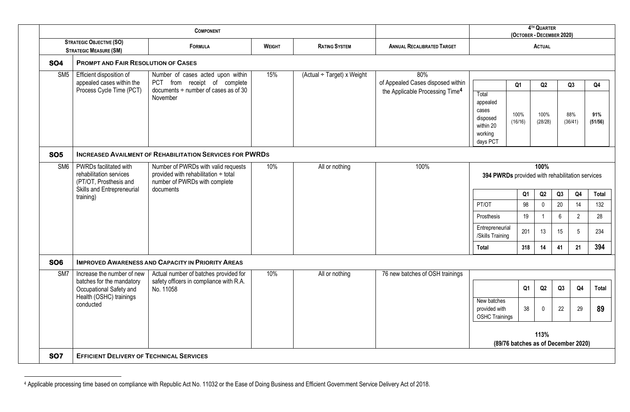|                         |                                                                                    | <b>COMPONENT</b>                                                                                                                              |               |                            |                                                                                         |                                                                            | (OCTOBER - DECEMBER 2020)                               | 4TH QUARTER           |    |                      |                                  |  |
|-------------------------|------------------------------------------------------------------------------------|-----------------------------------------------------------------------------------------------------------------------------------------------|---------------|----------------------------|-----------------------------------------------------------------------------------------|----------------------------------------------------------------------------|---------------------------------------------------------|-----------------------|----|----------------------|----------------------------------|--|
|                         | <b>STRATEGIC OBJECTIVE (SO)</b><br><b>STRATEGIC MEASURE (SM)</b>                   | <b>FORMULA</b>                                                                                                                                | <b>WEIGHT</b> | <b>RATING SYSTEM</b>       | <b>ANNUAL RECALIBRATED TARGET</b>                                                       |                                                                            |                                                         | <b>ACTUAL</b>         |    |                      |                                  |  |
| <b>SO4</b>              | <b>PROMPT AND FAIR RESOLUTION OF CASES</b>                                         |                                                                                                                                               |               |                            |                                                                                         |                                                                            |                                                         |                       |    |                      |                                  |  |
| SM5                     | Efficient disposition of<br>appealed cases within the<br>Process Cycle Time (PCT)  | Number of cases acted upon within<br>PCT from receipt of complete<br>documents $\div$ number of cases as of 30<br>November                    | 15%           | (Actual ÷ Target) x Weight | 80%<br>of Appealed Cases disposed within<br>the Applicable Processing Time <sup>4</sup> | Total<br>appealed<br>cases<br>disposed<br>within 20<br>working<br>days PCT | Q <sub>1</sub><br>100%<br>(16/16)                       | Q2<br>100%<br>(28/28) |    | Q3<br>88%<br>(36/41) | Q <sub>4</sub><br>91%<br>(51/56) |  |
| <b>SO5</b>              |                                                                                    | <b>INCREASED AVAILMENT OF REHABILITATION SERVICES FOR PWRDS</b>                                                                               |               |                            |                                                                                         |                                                                            |                                                         |                       |    |                      |                                  |  |
| SM <sub>6</sub>         | PWRDs facilitated with<br>rehabilitation services<br>(PT/OT, Prosthesis and        | 10%<br>All or nothing<br>100%<br>Number of PWRDs with valid requests<br>provided with rehabilitation ÷ total<br>number of PWRDs with complete |               |                            |                                                                                         |                                                                            | 100%<br>394 PWRDs provided with rehabilitation services |                       |    |                      |                                  |  |
|                         | Skills and Entrepreneurial<br>training)                                            | documents                                                                                                                                     |               |                            |                                                                                         |                                                                            | Q1                                                      | Q2                    | Q3 | Q <sub>4</sub>       | Total                            |  |
|                         |                                                                                    |                                                                                                                                               |               |                            |                                                                                         | PT/OT                                                                      | 98                                                      | $\pmb{0}$             | 20 | 14                   | 132                              |  |
|                         |                                                                                    |                                                                                                                                               |               |                            |                                                                                         | Prosthesis                                                                 | 19                                                      | $\overline{1}$        | 6  | $2^{\circ}$          | 28                               |  |
|                         |                                                                                    |                                                                                                                                               |               |                            |                                                                                         | Entrepreneurial<br>/Skills Training                                        | 201                                                     | 13                    | 15 | 5                    | 234                              |  |
|                         |                                                                                    |                                                                                                                                               |               |                            |                                                                                         | Total                                                                      | 318                                                     | 14                    | 41 | 21                   | 394                              |  |
| <b>SO6</b>              |                                                                                    | <b>IMPROVED AWARENESS AND CAPACITY IN PRIORITY AREAS</b>                                                                                      |               |                            |                                                                                         |                                                                            |                                                         |                       |    |                      |                                  |  |
| $\overline{\text{SM7}}$ | Increase the number of new<br>batches for the mandatory<br>Occupational Safety and | Actual number of batches provided for<br>safety officers in compliance with R.A.<br>No. 11058                                                 | 10%           | All or nothing             | 76 new batches of OSH trainings                                                         |                                                                            | Q <sub>1</sub>                                          | Q2                    | Q3 | Q <sub>4</sub>       | Total                            |  |
|                         | Health (OSHC) trainings<br>conducted                                               |                                                                                                                                               |               |                            |                                                                                         | New batches<br>provided with<br><b>OSHC Trainings</b>                      | 38                                                      | $\mathbf 0$           | 22 | 29                   | 89                               |  |
|                         |                                                                                    |                                                                                                                                               |               |                            |                                                                                         |                                                                            | (89/76 batches as of December 2020)                     | 113%                  |    |                      |                                  |  |
| <b>SO7</b>              | <b>EFFICIENT DELIVERY OF TECHNICAL SERVICES</b>                                    |                                                                                                                                               |               |                            |                                                                                         |                                                                            |                                                         |                       |    |                      |                                  |  |

<sup>4</sup> Applicable processing time based on compliance with Republic Act No. 11032 or the Ease of Doing Business and Efficient Government Service Delivery Act of 2018.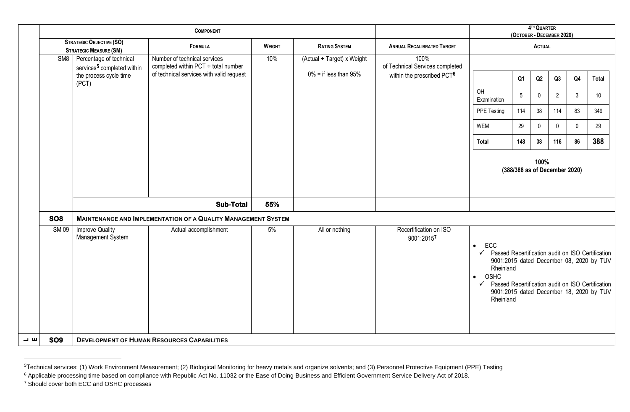|    |                                                                  |                                                                         |                                                                          | 4TH QUARTER<br>(OCTOBER - DECEMBER 2020) |                                         |                                         |                                                                                                                                                                                                                                                                                                    |                 |             |                               |                |              |
|----|------------------------------------------------------------------|-------------------------------------------------------------------------|--------------------------------------------------------------------------|------------------------------------------|-----------------------------------------|-----------------------------------------|----------------------------------------------------------------------------------------------------------------------------------------------------------------------------------------------------------------------------------------------------------------------------------------------------|-----------------|-------------|-------------------------------|----------------|--------------|
|    | <b>STRATEGIC OBJECTIVE (SO)</b><br><b>STRATEGIC MEASURE (SM)</b> |                                                                         | <b>FORMULA</b>                                                           | <b>WEIGHT</b>                            | <b>RATING SYSTEM</b>                    | <b>ANNUAL RECALIBRATED TARGET</b>       |                                                                                                                                                                                                                                                                                                    | <b>ACTUAL</b>   |             |                               |                |              |
|    |                                                                  | SM8   Percentage of technical<br>services <sup>5</sup> completed within | Number of technical services<br>completed within $PCT \div$ total number | 10%                                      | $\overline{(Actual + Target)}$ x Weight | 100%<br>of Technical Services completed |                                                                                                                                                                                                                                                                                                    |                 |             |                               |                |              |
|    |                                                                  | the process cycle time<br>(PCT)                                         | of technical services with valid request                                 |                                          | $0\%$ = if less than 95%                | within the prescribed PCT6              |                                                                                                                                                                                                                                                                                                    | Q <sub>1</sub>  | Q2          | Q3                            | Q <sub>4</sub> | <b>Total</b> |
|    |                                                                  |                                                                         |                                                                          |                                          |                                         |                                         | O <sub>H</sub><br>Examination                                                                                                                                                                                                                                                                      | $5\phantom{.0}$ | $\pmb{0}$   | $\overline{2}$                | $\mathbf{3}$   | 10           |
|    |                                                                  |                                                                         |                                                                          |                                          |                                         |                                         | PPE Testing                                                                                                                                                                                                                                                                                        | 114             | 38          | 114                           | 83             | 349          |
|    |                                                                  |                                                                         |                                                                          |                                          |                                         |                                         | <b>WEM</b>                                                                                                                                                                                                                                                                                         | 29              | $\mathbf 0$ | $\mathbf 0$                   | $\mathbf{0}$   | 29           |
|    |                                                                  |                                                                         |                                                                          |                                          |                                         |                                         | <b>Total</b><br>148                                                                                                                                                                                                                                                                                |                 | 38          | 116                           | 86             | 388          |
|    |                                                                  |                                                                         |                                                                          |                                          |                                         |                                         |                                                                                                                                                                                                                                                                                                    |                 | 100%        | (388/388 as of December 2020) |                |              |
|    |                                                                  |                                                                         | <b>Sub-Total</b>                                                         | 55%                                      |                                         |                                         |                                                                                                                                                                                                                                                                                                    |                 |             |                               |                |              |
|    | <b>SO8</b>                                                       |                                                                         | <b>MAINTENANCE AND IMPLEMENTATION OF A QUALITY MANAGEMENT SYSTEM</b>     |                                          |                                         |                                         |                                                                                                                                                                                                                                                                                                    |                 |             |                               |                |              |
|    | <b>SM09</b>                                                      | <b>Improve Quality</b><br>Management System                             | Actual accomplishment                                                    | 5%                                       | All or nothing                          | Recertification on ISO<br>9001:20157    | <b>ECC</b><br>$\bullet$<br>$\checkmark$ Passed Recertification audit on ISO Certification<br>9001:2015 dated December 08, 2020 by TUV<br>Rheinland<br>OSHC<br>$\bullet$<br>$\checkmark$ Passed Recertification audit on ISO Certification<br>9001:2015 dated December 18, 2020 by TUV<br>Rheinland |                 |             |                               |                |              |
| 一四 | <b>SO9</b>                                                       |                                                                         | <b>DEVELOPMENT OF HUMAN RESOURCES CAPABILITIES</b>                       |                                          |                                         |                                         |                                                                                                                                                                                                                                                                                                    |                 |             |                               |                |              |

<sup>&</sup>lt;sup>5</sup>Technical services: (1) Work Environment Measurement; (2) Biological Monitoring for heavy metals and organize solvents; and (3) Personnel Protective Equipment (PPE) Testing

<sup>&</sup>lt;sup>6</sup> Applicable processing time based on compliance with Republic Act No. 11032 or the Ease of Doing Business and Efficient Government Service Delivery Act of 2018.

<sup>&</sup>lt;sup>7</sup> Should cover both ECC and OSHC processes